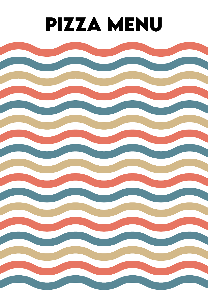# **pizza menu**

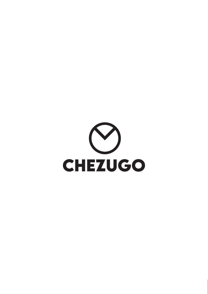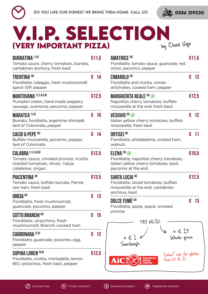



## **V.i.p. SELECTION (Very Important Pizza)** by Chez Ugo

| <b>BURRATINA [1,6]</b><br>Tomato sauce, cherry tomatoes, burrata,<br>cantabrian anchovy, fresh basil                                     |   | €11,5         | <b>AMATRICE <sup>(6)</sup></b><br>Fiordilatte, t<br>onion, peco           |
|------------------------------------------------------------------------------------------------------------------------------------------|---|---------------|---------------------------------------------------------------------------|
| <b>TRENTINA (6)</b><br>Fiordilatte, taleggio, fresh mushrooms <sup>®</sup><br>speck IGP, pepper                                          |   | € 14          | <b>CIMAROLO (6)</b><br>Fiordilatte a<br>artichokes,                       |
| MANTOVANA (1,2,4,6,8)<br>Pumpkin cream, hand made peppery<br>sausage, scamorza, pecorino, pepper                                         |   | €12,5         | <b>MARGHERITA</b><br>Napolitan c<br>mozzarella                            |
| <b>MARATEA [1,6]</b><br>Burrata, fiordilatte, argentine shrimp®,<br>lard of Colonnata, pepper                                            |   | € 16          | <b>VESUVIO<sup>(6)</sup></b><br>Italian yello<br>mozzarella,              |
| <b>CACIO &amp; PEPE (6)</b><br>Buffalo mozzarella, pecorino, pepper,<br>lard of Colonnata                                                |   | € 14          | ORTISEI <sup>(6)</sup><br>Fiordilatte,<br>walnuts                         |
| <b>CALABRA</b> <sup>(1,2,4,6,8)</sup><br>Tomato sauce, smoked provola, ricotta,<br>roasted tomatoes, olives, 'nduja<br>calabrese, origan |   | €12,5         | $ELENA$ <sup>(6)</sup><br>Fiordilatte, i<br>italian yellow<br>pecorino at |
| PIACENTINA <sup>(6)</sup><br>Tomato sauce, buffalo burrata, Parma<br>raw ham, fresh basil                                                |   | €13,5         | <b>SANTA LUCIA</b><br>Fiordilatte,<br>mozzarella                          |
| <b>GRICIA<sup>(6)</sup></b><br>Fiordilatte, fresh mushrooms <sup>®</sup> ,<br>guanciale, pecorino, pepper                                | € | 13            | anchovy, ba<br><b>DOLCE FUMÉ</b><br>Fiordilatte, a                        |
| <b>COTTO BRANCHI (6)</b><br>Fiordilatte, stracchino, fresh<br>mushrooms <sup>®</sup> , Branchi cooked ham                                | € | 15            | provola                                                                   |
| <b>CARBONARA (2,6)</b><br>Fiordilatte, guanciale, pecorino, egg,<br>pepper                                                               |   | $\epsilon$ 12 |                                                                           |
| SOPHIA LOREN <sup>(6,8)</sup><br>Fiordilatte, ricotta, mortadella, lemon<br>BIO, pistachios, fresh basil, pepper                         |   | €12,5         | Ai                                                                        |

| <b>AMATRICE <sup>(6)</sup></b><br>Fiordilatte, tomato sauce, guanciale, red<br>onion, pecorino, pepper                          |   | £11,5 |
|---------------------------------------------------------------------------------------------------------------------------------|---|-------|
| CIMAROLO <sup>(6)</sup><br>Fiordilatte and ricotta, roman<br>artichokes, cooked ham, pepper                                     | € | -13   |
| <b>MARGHERITA REALE <sup>(6)</sup> @</b><br>Napolitan cherry tomatoes, buffalo<br>mozzarella at the end, fresh basil            |   | €12,5 |
| <b>VESUVIO<sup>GO</sup> @</b><br>Italian yellow cherry tomatoes, buffalo<br>mozzarella, fresh basil                             | € | - 12  |
| <b>ORTISEI <sup>(6)</sup></b><br>Fiordilatte, philadelphia, cooked ham,<br>walnuts                                              | € | -11   |
| $ELENA$ (6) $\odot$<br>Fiordilatte, napolitan cherry tomatoes,<br>italian yellow cherry tomatoes, basil,<br>pecorino at the end |   | £10,5 |
| SANTA LUCIA <sup>(6)</sup><br>Fiordilatte, sliced tomatoes, buffalo<br>mozzarella at the end, cantabrian<br>anchovy, basil      |   | €12,5 |
| DOLCE FUMÉ <sup>(6)</sup><br>Fiordilatte, apple, speck, smoked<br>provola                                                       | € | 13    |
| TRY ALSO:<br>+ € 1,5<br>$+ \in 1$<br>Whole grain<br>Sourdough                                                                   |   |       |
| Celiac? ask for gluten<br>free (+ $\in$ 1)<br>Ai                                                                                |   |       |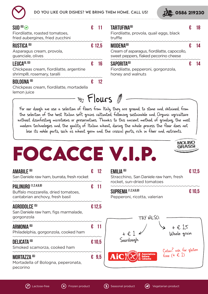



| $SUB^{60}$<br>Fiordilatte, roasted tomatoes,<br>fried aubergines, fried zucchini                                                                                                                          | €      | 11             | <b>TARTUFINA<sup>(6)</sup></b><br>Fiordilatte, provola, quail eggs, black<br>truffle                                                                                                                                                                                                                                                                                                                                                                                                                                                                                              | € | 18       |
|-----------------------------------------------------------------------------------------------------------------------------------------------------------------------------------------------------------|--------|----------------|-----------------------------------------------------------------------------------------------------------------------------------------------------------------------------------------------------------------------------------------------------------------------------------------------------------------------------------------------------------------------------------------------------------------------------------------------------------------------------------------------------------------------------------------------------------------------------------|---|----------|
| <b>RUSTICA<sup>(6)</sup></b><br>Asparagus cream, provola,<br>guanciale, olives                                                                                                                            |        | £ 12,5         | MODENA <sup>(6)</sup><br>Cream of asparagus, fiordilatte, capocollo,<br>sweet peppers, flaked pecorino cheese                                                                                                                                                                                                                                                                                                                                                                                                                                                                     | € | 14       |
| LEUCA <sup>(6,10)</sup><br>Chickpeas cream, fiordilatte, argentine<br>shrimp <sup>®</sup> , rosemary, taralli<br><b>BOLOGNA</b> <sup>(6)</sup><br>Chickpeas cream, fiordilatte, mortadella<br>lemon juice | €<br>€ | 16<br>12       | SAPORITA <sup>(6)</sup><br>Fiordilatte, pepperoni, gorgonzola,<br>honey and walnuts                                                                                                                                                                                                                                                                                                                                                                                                                                                                                               | € | 14       |
|                                                                                                                                                                                                           |        |                | $\mathcal{L}$ Flours $\mathcal{E}$<br>For our dough we use a selection of flours from Italy, they are ground to stone and obtained from<br>the selection of the best Italian soft grains cultivated following sustainable and Organic agriculture<br>without disinfesting microtoxins or preservatives. Thanks to this ancient method of grinding, the most<br>modern technologies and the quality of Italian wheat, during the whole process the flour does not<br>lose its noble parts, such as wheat germ and the cruscal parts, rich in fiber and nutrients.<br><b>MOLINL</b> |   |          |
| FOCACCE V.I.P.<br><b>AMABILE</b><br>San Daniele raw ham, burrata, fresh rocket                                                                                                                            |        | 12             | <b>EMILIA <sup>(6)</sup></b><br>Stracchino, San Daniele raw ham, fresh                                                                                                                                                                                                                                                                                                                                                                                                                                                                                                            |   | € 12,5   |
| <b>PALINURO (1,2,4,6,8)</b><br>Buffalo mozzarella, dried tomatoes,<br>cantabrian anchovy, fresh basil                                                                                                     | €      | $-11$          | rocket, sun-dried tomatoes<br><b>SUPREMA (1,2,4,6,8)</b><br>Pepperoni, ricotta, valerian                                                                                                                                                                                                                                                                                                                                                                                                                                                                                          |   | $E$ 10,5 |
| <b>AGRODOLCE <sup>(5)</sup></b><br>San Daniele raw ham, figs marmalade,<br>gorgonzola                                                                                                                     |        | £12,5          | TRY ALSO:                                                                                                                                                                                                                                                                                                                                                                                                                                                                                                                                                                         |   |          |
| <b>ARMONIA<sup>(6)</sup></b><br>Philadelphia, gorgonzola, cooked ham                                                                                                                                      | €      | -11            | + € 1,5<br>Whole grain<br>$+$ $E$ .                                                                                                                                                                                                                                                                                                                                                                                                                                                                                                                                               |   |          |
| <b>DELICATA (6)</b><br>Smoked scamorza, cooked ham                                                                                                                                                        |        | €10,5          | Sourdough                                                                                                                                                                                                                                                                                                                                                                                                                                                                                                                                                                         |   |          |
| <b>MORTAZZA (6)</b><br>Mortadella of Bologna, peperonata,<br>pecorino                                                                                                                                     |        | $\epsilon$ 9,5 | Celiac? ask for gluten<br>free $(+ \in 1)$<br>Associazione<br>Aic<br><b>Italiana</b>                                                                                                                                                                                                                                                                                                                                                                                                                                                                                              |   |          |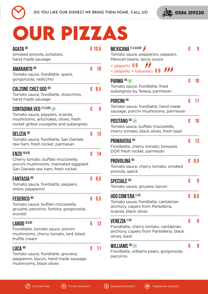



# **OUR PIZZAS**

| AGATA <sup>(6)</sup><br>Smoked provola, potatoes,<br>hand made sausage                                                                                 |   | € 10,5 |
|--------------------------------------------------------------------------------------------------------------------------------------------------------|---|--------|
| <b>AMARANTO (6)</b><br>Tomato sauce, fiordilatte, speck,<br>gorgonzola, radicchio                                                                      | € | 10     |
| <b>CALZONE CHEZ UGO (6)</b><br>Tomato sauce, fiordilatte, stracchino,<br>hand made sausage                                                             | € | 8,5    |
| <b>CONTADINA VEG</b> $(1,2,4,6)$<br>Tomato sauce, peppers, scarola,<br>mushrooms, artichokes, olives, fresh<br>rocket grilled courgette and aubergines | € | 9      |
| <b>DELIZIA (6)</b><br>Tomato sauce, fiordilatte, San Daniele<br>raw ham, fresh rocket, parmesan                                                        | € | 13     |
| <b>ENZO</b> <sup>(4,6,8)</sup><br>Cherry tomato, buffalo mozzarella,<br>porcini mushrooms, marinated eggplant<br>San Daniele raw ham, fresh rocket     | € | 14     |
| <b>FANTASIA (6)</b><br>Tomato sauce, fiordilatte, peppers,<br>onion, pepperoni                                                                         | € | 8,5    |
| <b>FEDERICO<sup>(6)</sup></b><br>Tomato sauce, buffalo mozzarella,<br>gruyère, pecorino, fontina, gorgonzola,<br>wurstel                               | € | - 9,5  |
| <b>LARDO</b> <sup>(4,6,8)</sup><br>Fiordilatte, tomato sauce, porcini<br>mushrooms, cherry tomato, lard, black<br>truffle cream                        | € | 13     |
| LUCA <sup>(6)</sup><br>Tomato sauce, fiordilatte, groviera,<br>pepperoni, bacon, hand made sausage,<br>mushrooms, black olives                         | € |        |

| <b>MEXICANA [1,2,4,6,8]</b><br>Tomato sauce, pepperoni, peppers,<br>Mexican beans, tacos souce<br>+ jalapeño $\, \pmb{\epsilon} \, \pmb{9} \,$<br>+ jalapeño + habanero $69$ $55$ | € | 9   |
|-----------------------------------------------------------------------------------------------------------------------------------------------------------------------------------|---|-----|
| PARMA <sup>(6)</sup><br>Tomato sauce, fiordilatte, fried<br>aubergines by Teresa, parmesan                                                                                        | € | 10  |
| PORCINI <sup>(6)</sup><br>Tomato sauce, fiordilatte, hand made<br>sausage, porcini mushrooms, parmesan                                                                            | € | 11  |
| <b>POSITANO <sup>(6)</sup> @</b><br>Tomato sauce, buffalo mozzarella,<br>cherry tomato, black olives, fresh basil                                                                 | € | 10  |
| <b>PRIMAVERA (6)</b><br>Fiordilatte, cherry tomato, bresaola<br>DOP, fresh rocket, parmesan                                                                                       | € | 13  |
| <b>PROVOLINA (6)</b><br>Tomato sauce, cherry tomato, smoked<br>provola, speck                                                                                                     | € | 9.5 |
| <b>SPECIALE <sup>(6)</sup></b><br>Tomato sauce, gruyere, bacon                                                                                                                    | € | 9   |
| UGO COM'ERA <sup>(1,6)</sup><br>Tomato sauce, fiordilatte, cantabrian<br>anchovy, capers from Pantelleria,<br>scarola, black olives                                               | € | 8,5 |
| <b>VENEZIA [1,6]</b><br>Fiordilatte, cherry tomato, cantabrian<br>anchovy, capers from Pantelleria, black<br>olives, basil                                                        | € | 9   |
| <b>WILLIAMS</b> $^{(6)}$<br>Fiordilatte, williams pears, gorgonzola,<br>pecorino                                                                                                  | € | 9   |

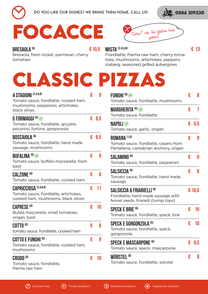

**BRESAOLA (6)**



## **focacce**

**€ 10,5 MISTA (2,4,6,8)** Celiac? ask for gluten free

**€ 13**

Bresaola, fresh rocket, parmesan, cherry tomatoes

Fiordilatte, Parma raw ham, cherry tomatoes, mushrooms, artichokes, peppers, iceberg, seasoned grilled aubergines

## **classic pizzas**

| <b>4 STAGIONI (2,4,6,8)</b><br>Tomato sauce, fiordilatte, cooked ham,<br>mushrooms, pepperoni, artichokes,    | € | 9     |
|---------------------------------------------------------------------------------------------------------------|---|-------|
| black olives<br>5 FORMAGGI <sup>(6)</sup><br>Tomato sauce, fiordilatte, gruyère,                              |   | € 8.5 |
| pecorino, fontina, gorgonzola                                                                                 |   |       |
| <b>BOSCAIOLA<sup>(6)</sup></b><br>Tomato sauce, fiordilatte, hand made<br>sausage, mushrooms                  | € | 8,5   |
| <b>BUFALINA (6)</b><br>Tomato sauce, buffalo mozzarella, fresh<br>basil                                       | € | 9     |
| <b>CALZONE <sup>(6)</sup></b><br>Tomato sauce, fiordilatte, cooked ham                                        | € | 8     |
| <b>CAPRICCIOSA (2,4,6,8)</b><br>Tomato sauce, fiordilatte, artichokes,<br>cooked ham, mushrooms, black olives | € | 11    |
| <b>CAPRESE <sup>(6)</sup></b><br>Bufala mozzarella, small tomatoes,<br>origan, basil                          | € | 10    |
| <b>COTTO (6)</b><br>tomato sauce, fiordilatte, cooked ham                                                     | € | 8     |
| <b>COTTO E FUNGHI (6)</b><br>Tomato sauce, fiordilatte, cooked ham,<br>mushrooms                              | € | 9     |
| <b>CRUDO<sup>(6)</sup></b><br>Tomato sauce, fiordilatte,<br>Parma raw ham                                     | € | 10    |

| FUNGHI <sup>(6)</sup>                           | € | 8       |
|-------------------------------------------------|---|---------|
| Tomato sauce, fiordilatte, mushrooms            |   |         |
| <b>MARGHERITA (6)</b>                           | € | 7       |
| Tomato sauce, fiordilatte                       |   |         |
| <b>NAPOLI</b>                                   |   | $E$ 5.5 |
| Tomato sauce, garlic, origan                    |   |         |
| <b>ROMANA [1,6]</b>                             | € | 9       |
| Tomato sauce, fiordilatte, capers from          |   |         |
| Pantelleria, cantabrian anchovy, origan         |   |         |
| <b>SALAMINO<sup>(6)</sup></b>                   | € | 8       |
| Tomato sauce, fiordilatte, pepperoni            |   |         |
| SALSICCIA <sup>(6)</sup>                        | € | 8       |
| Tomato sauce, fiordilatte, hand made            |   |         |
| sausage                                         |   |         |
| <b>SALSICCIA &amp; FRIARIELLI<sup>(6)</sup></b> |   | € 10.5  |
| Fiordilatte, hand made sausage with             |   |         |
| fennel seeds, friarielli (turnip tops)          |   |         |
| <b>SPECK E BRIE (6)</b>                         | € | 10      |
| Tomato sauce, fiordilatte, speck, brie          |   |         |
| SPECK E GORGONZOLA <sup>(6)</sup>               | € | 10      |
| Tomato sauce, fiordilatte, speck,               |   |         |
| gorgonzola                                      |   |         |
| <b>SPECK E MASCARPONE <sup>(6)</sup></b>        | € | 9,5     |
| Tomato sauce, speck, mascarpone                 |   |         |
| <b>WÜRSTEL<sup>(6)</sup></b>                    | € | 8       |
| Tomato sauce, fiordilatte, würstel              |   |         |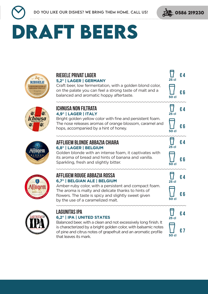

**€ 4**

**€ 6**

**€ 4**

**€ 6**

**€ 4**

**€ 6**

**€ 4**

**€ 6**

**€ 4**

**€ 7**

**25 cl**

**50 cl**

**25 cl**

 $\overline{\mathbf{L}}$ 

**50 cl**

**25 cl**

Ī

**50 cl**

**25 cl**

 $\overline{\mathsf{L}}$ 

**50 cl**

**25 cl**

 $\bar{\bm{\Pi}}$ 

**50 cl**

# **DRAFT BEERS**





#### **Riegele Privat Lager 5,2° | LAGER | GERMANY**

Craft beer, low fermentation, with a golden blond color, on the palate you can feel a strong taste of malt and a balanced and aromatic hoppy aftertaste.

#### **Ichnusa Non filtrata 4,9° | LAGER | ITALY**

Bright golden yellow color with fine and persistent foam. The nose releases aromas of orange blossom, caramel and hops, accompanied by a hint of honey.

#### **Affligem Blonde Abbazia Chiara 6,8° | LAGER | BELGIUM**

Golden blonde with an intense foam, it captivates with its aroma of bread and hints of banana and vanilla. Sparkling, fresh and slightly bitter.



#### **Affligem rouge Abbazia rossa 6,7° | BELGIAN ALE | BELGIUM**

Amber-ruby color, with a persistent and compact foam. The aroma is malty and delicate thanks to hints of flowers. The taste is spicy and slightly sweet given by the use of a caramelized malt.



#### **LAGUNITAS IPA 6,2° | IPA | UNITED STATES**

Balanced beer, with a clean and not excessively long finish. It is characterized by a bright golden color, with balsamic notes of pine and citrus notes of grapefruit and an aromatic profile that leaves its mark.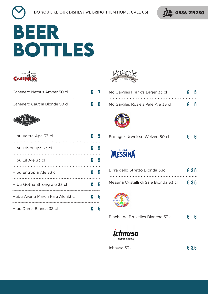

## **beer bottles**



| Canenero Nethus Amber 50 cl                                                                                                                                                                                                                                                                                                                  | $\epsilon$ 7 |  |
|----------------------------------------------------------------------------------------------------------------------------------------------------------------------------------------------------------------------------------------------------------------------------------------------------------------------------------------------|--------------|--|
| $\cdots$ $\cdots$ $\cdots$ $\cdots$ $\cdots$ $\cdots$ $\cdots$ $\cdots$ $\cdots$ $\cdots$ $\cdots$ $\cdots$ $\cdots$ $\cdots$ $\cdots$ $\cdots$ $\cdots$ $\cdots$ $\cdots$ $\cdots$ $\cdots$ $\cdots$ $\cdots$ $\cdots$ $\cdots$ $\cdots$ $\cdots$ $\cdots$ $\cdots$ $\cdots$ $\cdots$ $\cdots$ $\cdots$ $\cdots$ $\cdots$ $\cdots$ $\cdots$ |              |  |
| Canenero Cautha Blonde 50 cl                                                                                                                                                                                                                                                                                                                 | $\epsilon$ 6 |  |



| Hibu Vaitra Apa 33 cl            | € | h |
|----------------------------------|---|---|
| Hibu Trhibu Ipa 33 cl            | € | h |
| Hibu Eil Ale 33 cl               | € | h |
| Hibu Entropia Ale 33 cl          | € | h |
| Hibu Gotha Strong ale 33 cl      | € | h |
| Hubu Avanti March Pale Ale 33 cl | € | h |
| Hibu Dama Bianca 33 cl           |   |   |



| Mc Gargles Frank's Lager 33 cl         | € | 5     |
|----------------------------------------|---|-------|
| Mc Gargles Rosie's Pale Ale 33 cl      | € | 5     |
|                                        |   |       |
| Erdinger Urweisse Weizen 50 cl         | € | 6     |
| <b>MESSINA</b>                         |   |       |
| Birra dello Stretto Bionda 33cl        |   | € 3,5 |
| Messina Cristalli di Sale Bionda 33 cl |   | E3,5  |
|                                        |   |       |
| Blache de Bruxelles Blanche 33 cl      | € | ĥ     |
|                                        |   |       |



Ichnusa 33 cl **€ 3,5**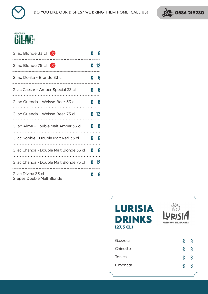. . . . . . . . . . . . . . . . . . . .





| Gilac Blonde 33 cl $\chi$                              | € | 6    |
|--------------------------------------------------------|---|------|
| Gilac Blonde 75 cl $\chi$                              | € | 12   |
| Gilac Dorita - Blonde 33 cl                            | € | 6    |
| Gilac Caesar - Amber Special 33 cl                     | € | 6    |
| Gilac Guenda - Weisse Beer 33 cl                       | € | 6    |
| Gilac Guenda - Weisse Beer 75 cl                       |   | € 12 |
| Gilac Alma - Double Malt Amber 33 cl                   | € | 6    |
| Gilac Sophie - Double Malt Red 33 cl                   | € | 6    |
| Gilac Chanda - Double Malt Blonde 33 cl                | € | 6    |
| Gilac Chanda - Double Malt Blonde 75 cl                |   | € 12 |
| Gilac Divina 33 cl<br><b>Grapes Double Malt Blonde</b> | € | 6    |

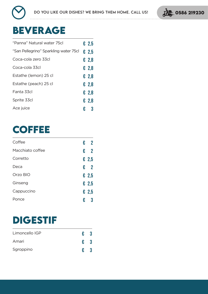

.....................................



### **BEVERAGE**

| "Panna" Natural water 75cl            |   | $E$ 2,5        |
|---------------------------------------|---|----------------|
| "San Pellegrino" Sparkling water 75cl |   | $\epsilon$ 2.5 |
| Coca-cola zero 33cl                   |   | € 2,8          |
| Coca-cola 33cl                        |   | € 2,8          |
| Estathe (lemon) 25 cl                 |   | € 2.8          |
| Estathe (peach) 25 cl                 |   | £ 2,8          |
| Fanta 33cl                            |   | € 2.8          |
| Sprite 33cl                           |   | € 2.8          |
| Ace juice                             | € | 3              |

### **coffee**

| Coffee           | € | $\mathbf 2$    |
|------------------|---|----------------|
| Macchiato coffee | € | $\mathbf 2$    |
| Corretto         |   | £ 2,5          |
| Deca             | € | $\overline{2}$ |
| Orzo BIO         |   | £ 2,5          |
| Ginseng          |   | £ 2,5          |
| Cappuccino       |   | £ 2,5          |
| Ponce            | € | 3              |
|                  |   |                |

### **digestIF**

| Limoncello IGP | €            | -3 |
|----------------|--------------|----|
| Amari          | $\epsilon$ 3 |    |
| Sgroppino      | €            |    |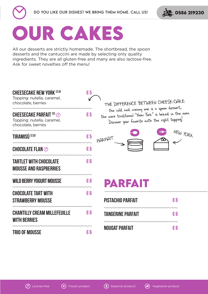



## **OUR CAKES**

All our desserts are strictly homemade. The shortbread, the spoon desserts and the cantuccini are made by selecting only quality ingredients. They are all gluten-free and many are also lactose-free. Ask for sweet novelties off the menu!

| <b>CHEESECAKE NEW YORK [2,6]</b><br>Topping: nutella, caramel,<br>chocolate, berries | €5                      | THE DIFFERENCE BETWEEN CHEESE-CHAKE:                                                                                                                   |  |  |
|--------------------------------------------------------------------------------------|-------------------------|--------------------------------------------------------------------------------------------------------------------------------------------------------|--|--|
| <b>CHEESECAKE PARFAIT [2] @</b><br>Topping: nutella, caramel,<br>chocolate, berries  | €5                      | the cold and creamy one is a spoon dessert,<br>the more traditional "New York" is baked in the oven.<br>Discover your favorite with the right topping! |  |  |
| <b>TIRAMISÙ</b> <sup>(2,6)</sup>                                                     | $\epsilon$ <sub>5</sub> | $N$ $E$ $W$ $V$ $OR$ $K$<br>PARFAIT                                                                                                                    |  |  |
| <b>CHOCOLATE FLAN</b>                                                                | €5                      |                                                                                                                                                        |  |  |
| <b>TARTLET WITH CHOCOLATE</b><br><b>MOUSSE AND RASPBERRIES</b>                       | €6                      |                                                                                                                                                        |  |  |
| <b>WILD BERRY YOGURT MOUSSE</b>                                                      | € 6                     | PARFAIT                                                                                                                                                |  |  |
| <b>CHOCOLATE TART WITH</b><br><b>STRAWBERRY MOUSSE</b>                               | € 6                     | <b>PISTACHIO PARFAIT</b><br>€6                                                                                                                         |  |  |
| <b>CHANTILLY CREAM MILLEFEUILLE</b><br><b>WITH BERRIES</b>                           | € 6                     | <b>TANGERINE PARFAIT</b><br>€ 6                                                                                                                        |  |  |
| <b>TRIO OF MOUSSE</b>                                                                | € 6                     | NOUGAT PARFAIT<br>€ 6                                                                                                                                  |  |  |